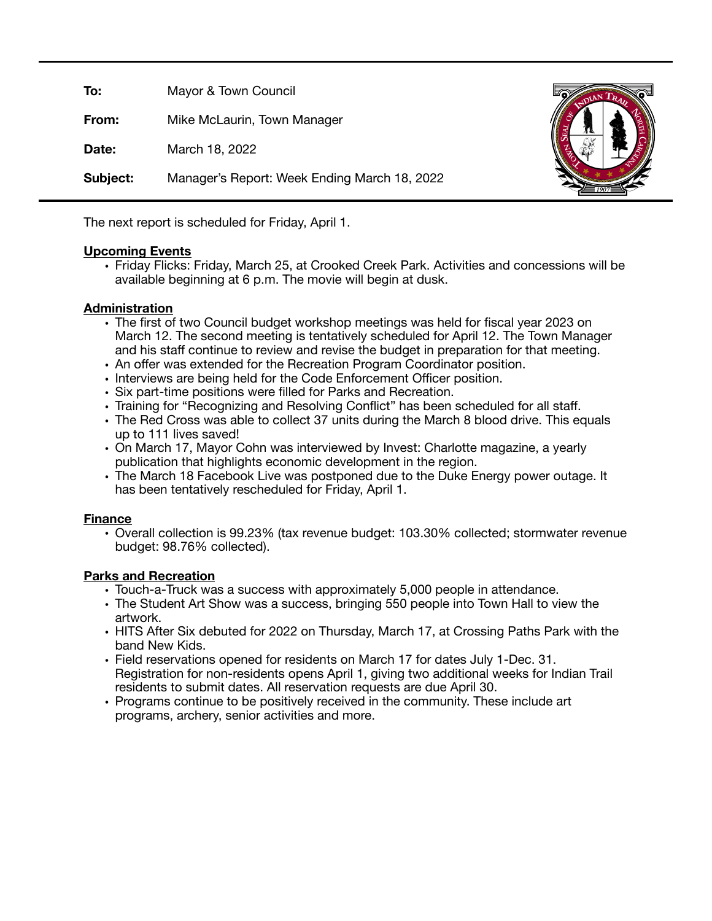| To:      | Mayor & Town Council                         |  |
|----------|----------------------------------------------|--|
| From:    | Mike McLaurin, Town Manager                  |  |
| Date:    | March 18, 2022                               |  |
| Subject: | Manager's Report: Week Ending March 18, 2022 |  |

The next report is scheduled for Friday, April 1.

#### **Upcoming Events**

• Friday Flicks: Friday, March 25, at Crooked Creek Park. Activities and concessions will be available beginning at 6 p.m. The movie will begin at dusk.

## **Administration**

- The first of two Council budget workshop meetings was held for fiscal year 2023 on March 12. The second meeting is tentatively scheduled for April 12. The Town Manager and his staff continue to review and revise the budget in preparation for that meeting.
- An offer was extended for the Recreation Program Coordinator position.
- Interviews are being held for the Code Enforcement Officer position.
- Six part-time positions were filled for Parks and Recreation.
- Training for "Recognizing and Resolving Conflict" has been scheduled for all staff.
- The Red Cross was able to collect 37 units during the March 8 blood drive. This equals up to 111 lives saved!
- On March 17, Mayor Cohn was interviewed by Invest: Charlotte magazine, a yearly publication that highlights economic development in the region.
- The March 18 Facebook Live was postponed due to the Duke Energy power outage. It has been tentatively rescheduled for Friday, April 1.

#### **Finance**

• Overall collection is 99.23% (tax revenue budget: 103.30% collected; stormwater revenue budget: 98.76% collected).

# **Parks and Recreation**

- Touch-a-Truck was a success with approximately 5,000 people in attendance.
- The Student Art Show was a success, bringing 550 people into Town Hall to view the artwork.
- HITS After Six debuted for 2022 on Thursday, March 17, at Crossing Paths Park with the band New Kids.
- Field reservations opened for residents on March 17 for dates July 1-Dec. 31. Registration for non-residents opens April 1, giving two additional weeks for Indian Trail residents to submit dates. All reservation requests are due April 30.
- Programs continue to be positively received in the community. These include art programs, archery, senior activities and more.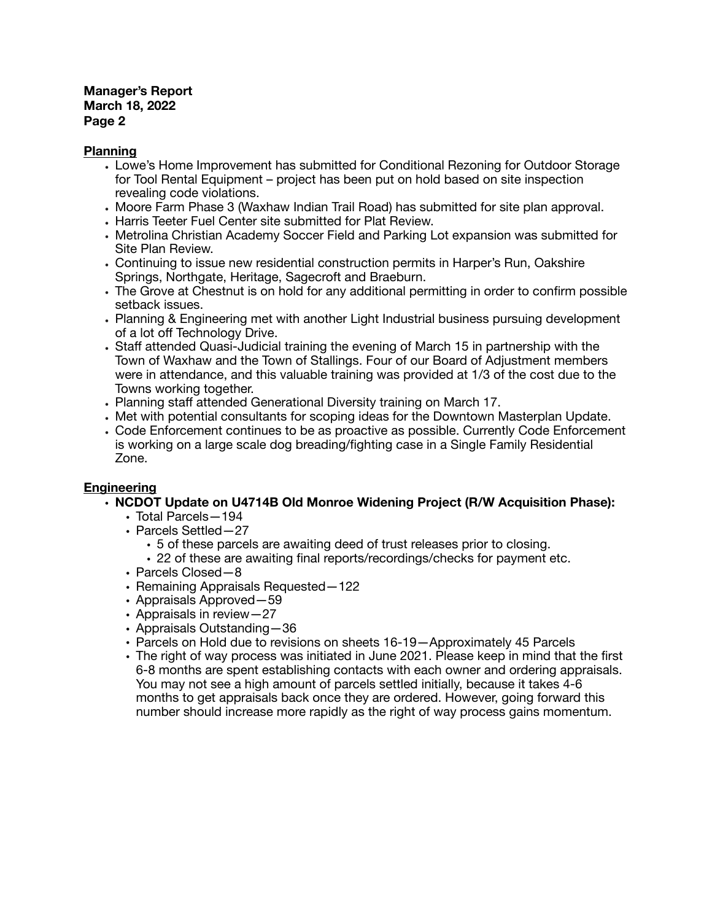# **Manager's Report March 18, 2022 Page 2**

### **Planning**

- Lowe's Home Improvement has submitted for Conditional Rezoning for Outdoor Storage for Tool Rental Equipment – project has been put on hold based on site inspection revealing code violations.
- Moore Farm Phase 3 (Waxhaw Indian Trail Road) has submitted for site plan approval.
- Harris Teeter Fuel Center site submitted for Plat Review.
- Metrolina Christian Academy Soccer Field and Parking Lot expansion was submitted for Site Plan Review.
- Continuing to issue new residential construction permits in Harper's Run, Oakshire Springs, Northgate, Heritage, Sagecroft and Braeburn.
- The Grove at Chestnut is on hold for any additional permitting in order to confirm possible setback issues.
- Planning & Engineering met with another Light Industrial business pursuing development of a lot off Technology Drive.
- Staff attended Quasi-Judicial training the evening of March 15 in partnership with the Town of Waxhaw and the Town of Stallings. Four of our Board of Adjustment members were in attendance, and this valuable training was provided at 1/3 of the cost due to the Towns working together.
- Planning staff attended Generational Diversity training on March 17.
- Met with potential consultants for scoping ideas for the Downtown Masterplan Update.
- Code Enforcement continues to be as proactive as possible. Currently Code Enforcement is working on a large scale dog breading/fighting case in a Single Family Residential Zone.

# **Engineering**

- **• NCDOT Update on U4714B Old Monroe Widening Project (R/W Acquisition Phase):** 
	- Total Parcels—194
	- Parcels Settled—27
		- 5 of these parcels are awaiting deed of trust releases prior to closing.
		- 22 of these are awaiting final reports/recordings/checks for payment etc.
	- Parcels Closed—8
	- Remaining Appraisals Requested—122
	- Appraisals Approved—59
	- Appraisals in review—27
	- Appraisals Outstanding—36
	- Parcels on Hold due to revisions on sheets 16-19—Approximately 45 Parcels
	- The right of way process was initiated in June 2021. Please keep in mind that the first 6-8 months are spent establishing contacts with each owner and ordering appraisals. You may not see a high amount of parcels settled initially, because it takes 4-6 months to get appraisals back once they are ordered. However, going forward this number should increase more rapidly as the right of way process gains momentum.